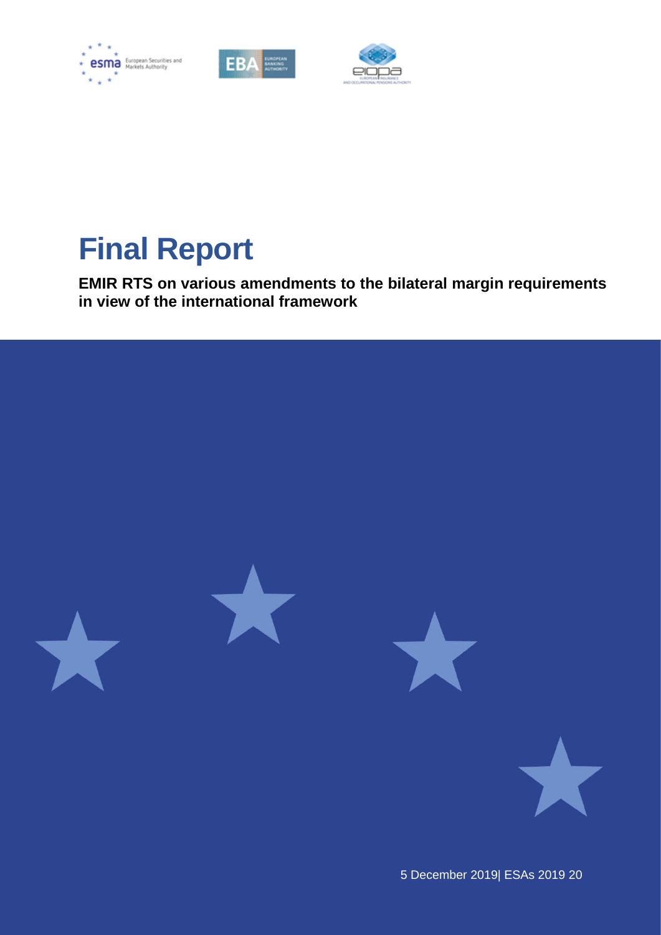





# **Final Report**

**EMIR RTS on various amendments to the bilateral margin requirements in view of the international framework**

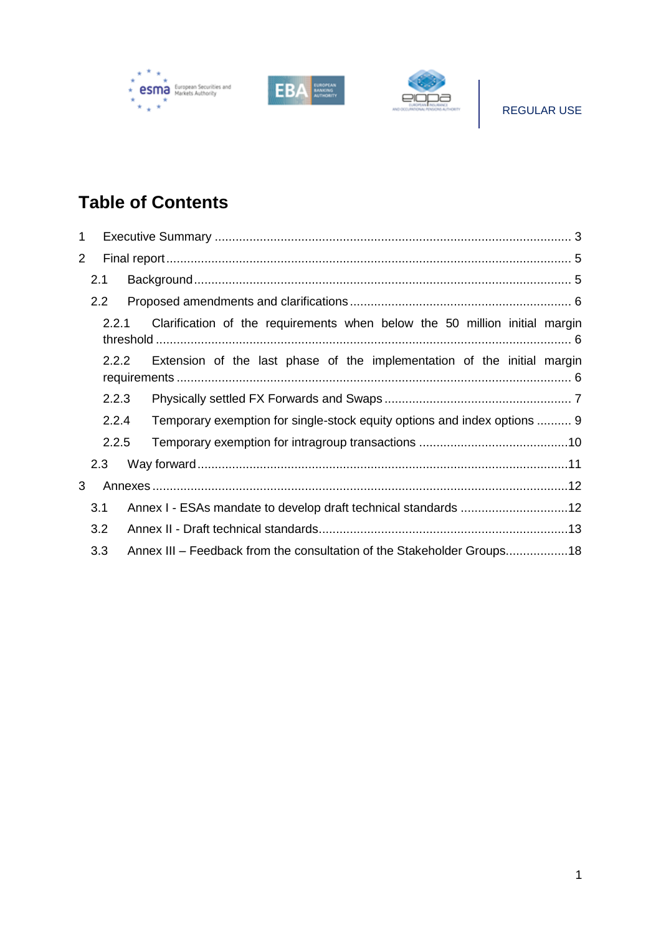





# **Table of Contents**

| 1              |               |                                                                         |                                                                            |  |  |
|----------------|---------------|-------------------------------------------------------------------------|----------------------------------------------------------------------------|--|--|
| $\overline{2}$ |               |                                                                         |                                                                            |  |  |
|                | 2.1           |                                                                         |                                                                            |  |  |
|                | $2.2^{\circ}$ |                                                                         |                                                                            |  |  |
|                | 2.2.1         |                                                                         | Clarification of the requirements when below the 50 million initial margin |  |  |
| 2.2.2          |               | Extension of the last phase of the implementation of the initial margin |                                                                            |  |  |
|                | 2.2.3         |                                                                         |                                                                            |  |  |
| 2.2.4          |               |                                                                         | Temporary exemption for single-stock equity options and index options  9   |  |  |
|                | 2.2.5         |                                                                         |                                                                            |  |  |
|                | 2.3           |                                                                         |                                                                            |  |  |
| 3              |               |                                                                         |                                                                            |  |  |
|                | 3.1           |                                                                         | Annex I - ESAs mandate to develop draft technical standards 12             |  |  |
|                | 3.2           |                                                                         |                                                                            |  |  |
|                | 3.3           |                                                                         | Annex III – Feedback from the consultation of the Stakeholder Groups18     |  |  |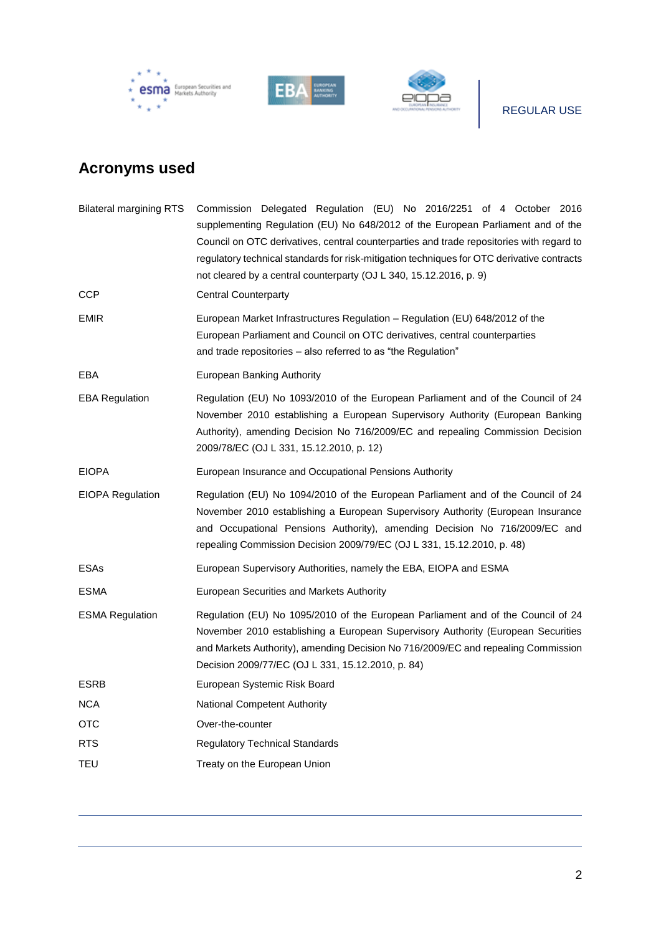





# REGULAR USE

# **Acronyms used**

| <b>Bilateral margining RTS</b> | Commission Delegated Regulation (EU) No 2016/2251 of 4 October 2016<br>supplementing Regulation (EU) No 648/2012 of the European Parliament and of the<br>Council on OTC derivatives, central counterparties and trade repositories with regard to<br>regulatory technical standards for risk-mitigation techniques for OTC derivative contracts<br>not cleared by a central counterparty (OJ L 340, 15.12.2016, p. 9) |
|--------------------------------|------------------------------------------------------------------------------------------------------------------------------------------------------------------------------------------------------------------------------------------------------------------------------------------------------------------------------------------------------------------------------------------------------------------------|
| CCP                            | <b>Central Counterparty</b>                                                                                                                                                                                                                                                                                                                                                                                            |
| EMIR                           | European Market Infrastructures Regulation – Regulation (EU) 648/2012 of the<br>European Parliament and Council on OTC derivatives, central counterparties<br>and trade repositories - also referred to as "the Regulation"                                                                                                                                                                                            |
| EBA                            | European Banking Authority                                                                                                                                                                                                                                                                                                                                                                                             |
| <b>EBA Regulation</b>          | Regulation (EU) No 1093/2010 of the European Parliament and of the Council of 24<br>November 2010 establishing a European Supervisory Authority (European Banking<br>Authority), amending Decision No 716/2009/EC and repealing Commission Decision<br>2009/78/EC (OJ L 331, 15.12.2010, p. 12)                                                                                                                        |
| EIOPA                          | European Insurance and Occupational Pensions Authority                                                                                                                                                                                                                                                                                                                                                                 |
| EIOPA Regulation               | Regulation (EU) No 1094/2010 of the European Parliament and of the Council of 24<br>November 2010 establishing a European Supervisory Authority (European Insurance<br>and Occupational Pensions Authority), amending Decision No 716/2009/EC and<br>repealing Commission Decision 2009/79/EC (OJ L 331, 15.12.2010, p. 48)                                                                                            |
| ESAs                           | European Supervisory Authorities, namely the EBA, EIOPA and ESMA                                                                                                                                                                                                                                                                                                                                                       |
| ESMA                           | European Securities and Markets Authority                                                                                                                                                                                                                                                                                                                                                                              |
| <b>ESMA Regulation</b>         | Regulation (EU) No 1095/2010 of the European Parliament and of the Council of 24<br>November 2010 establishing a European Supervisory Authority (European Securities<br>and Markets Authority), amending Decision No 716/2009/EC and repealing Commission<br>Decision 2009/77/EC (OJ L 331, 15.12.2010, p. 84)                                                                                                         |
| ESRB                           | European Systemic Risk Board                                                                                                                                                                                                                                                                                                                                                                                           |
| NCA                            | <b>National Competent Authority</b>                                                                                                                                                                                                                                                                                                                                                                                    |
| ОТС                            | Over-the-counter                                                                                                                                                                                                                                                                                                                                                                                                       |
| RTS                            | <b>Regulatory Technical Standards</b>                                                                                                                                                                                                                                                                                                                                                                                  |
| TEU                            | Treaty on the European Union                                                                                                                                                                                                                                                                                                                                                                                           |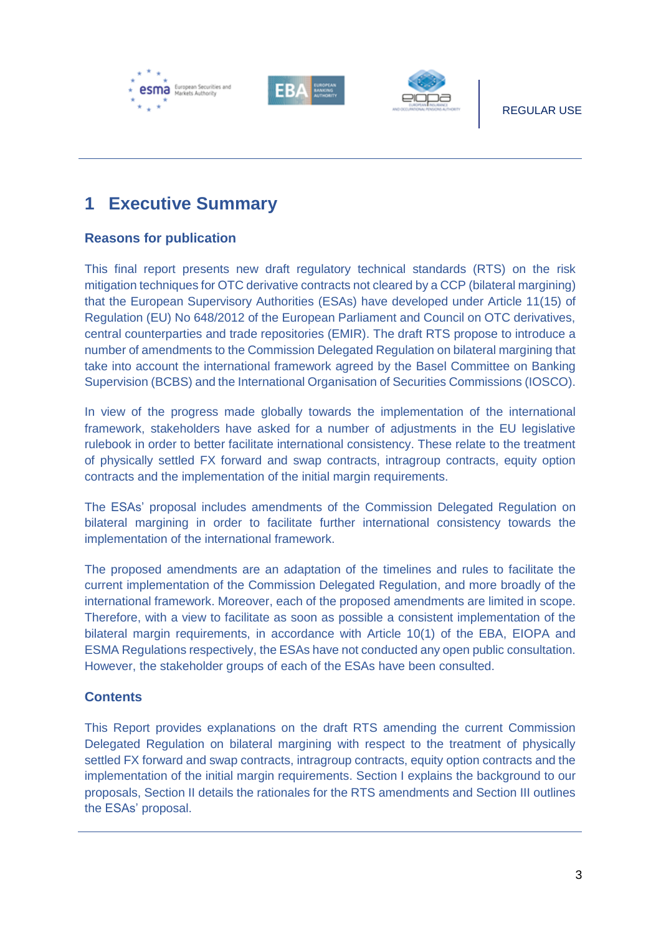





# <span id="page-3-0"></span>**1 Executive Summary**

### **Reasons for publication**

This final report presents new draft regulatory technical standards (RTS) on the risk mitigation techniques for OTC derivative contracts not cleared by a CCP (bilateral margining) that the European Supervisory Authorities (ESAs) have developed under Article 11(15) of Regulation (EU) No 648/2012 of the European Parliament and Council on OTC derivatives, central counterparties and trade repositories (EMIR). The draft RTS propose to introduce a number of amendments to the Commission Delegated Regulation on bilateral margining that take into account the international framework agreed by the Basel Committee on Banking Supervision (BCBS) and the International Organisation of Securities Commissions (IOSCO).

In view of the progress made globally towards the implementation of the international framework, stakeholders have asked for a number of adjustments in the EU legislative rulebook in order to better facilitate international consistency. These relate to the treatment of physically settled FX forward and swap contracts, intragroup contracts, equity option contracts and the implementation of the initial margin requirements.

The ESAs' proposal includes amendments of the Commission Delegated Regulation on bilateral margining in order to facilitate further international consistency towards the implementation of the international framework.

The proposed amendments are an adaptation of the timelines and rules to facilitate the current implementation of the Commission Delegated Regulation, and more broadly of the international framework. Moreover, each of the proposed amendments are limited in scope. Therefore, with a view to facilitate as soon as possible a consistent implementation of the bilateral margin requirements, in accordance with Article 10(1) of the EBA, EIOPA and ESMA Regulations respectively, the ESAs have not conducted any open public consultation. However, the stakeholder groups of each of the ESAs have been consulted.

### **Contents**

This Report provides explanations on the draft RTS amending the current Commission Delegated Regulation on bilateral margining with respect to the treatment of physically settled FX forward and swap contracts, intragroup contracts, equity option contracts and the implementation of the initial margin requirements. Section I explains the background to our proposals, Section II details the rationales for the RTS amendments and Section III outlines the ESAs' proposal.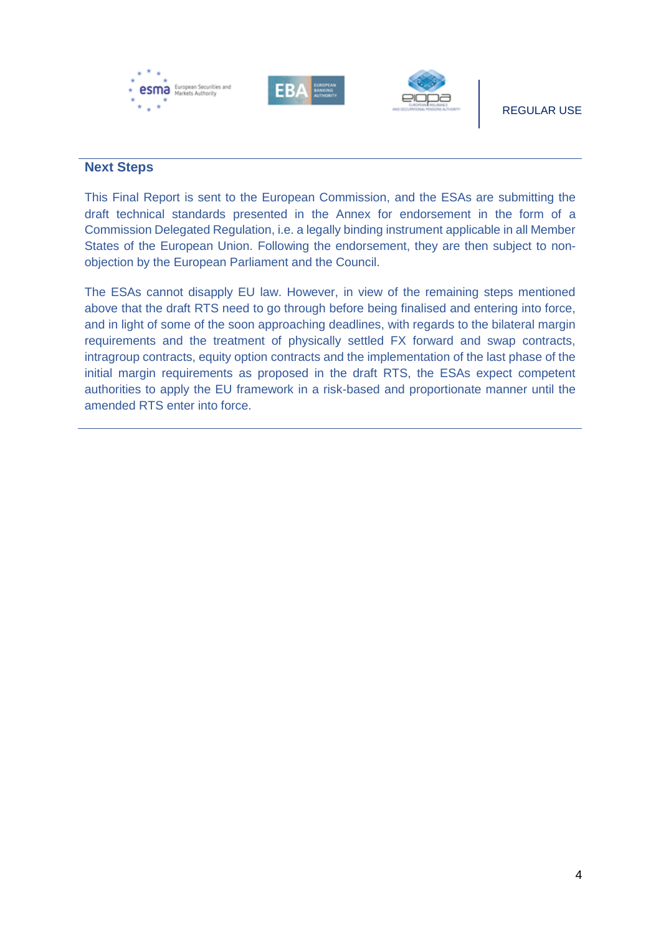

### **Next Steps**

This Final Report is sent to the European Commission, and the ESAs are submitting the draft technical standards presented in the Annex for endorsement in the form of a Commission Delegated Regulation, i.e. a legally binding instrument applicable in all Member States of the European Union. Following the endorsement, they are then subject to nonobjection by the European Parliament and the Council.

The ESAs cannot disapply EU law. However, in view of the remaining steps mentioned above that the draft RTS need to go through before being finalised and entering into force, and in light of some of the soon approaching deadlines, with regards to the bilateral margin requirements and the treatment of physically settled FX forward and swap contracts, intragroup contracts, equity option contracts and the implementation of the last phase of the initial margin requirements as proposed in the draft RTS, the ESAs expect competent authorities to apply the EU framework in a risk-based and proportionate manner until the amended RTS enter into force.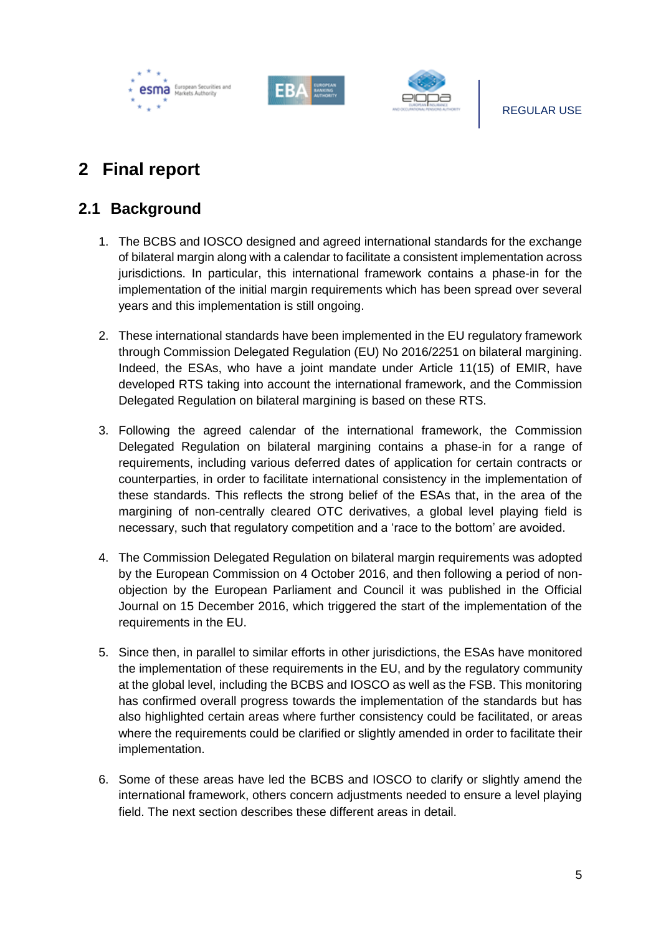





## <span id="page-5-0"></span>**2 Final report**

### <span id="page-5-1"></span>**2.1 Background**

- 1. The BCBS and IOSCO designed and agreed international standards for the exchange of bilateral margin along with a calendar to facilitate a consistent implementation across jurisdictions. In particular, this international framework contains a phase-in for the implementation of the initial margin requirements which has been spread over several years and this implementation is still ongoing.
- 2. These international standards have been implemented in the EU regulatory framework through Commission Delegated Regulation (EU) No 2016/2251 on bilateral margining. Indeed, the ESAs, who have a joint mandate under Article 11(15) of EMIR, have developed RTS taking into account the international framework, and the Commission Delegated Regulation on bilateral margining is based on these RTS.
- 3. Following the agreed calendar of the international framework, the Commission Delegated Regulation on bilateral margining contains a phase-in for a range of requirements, including various deferred dates of application for certain contracts or counterparties, in order to facilitate international consistency in the implementation of these standards. This reflects the strong belief of the ESAs that, in the area of the margining of non-centrally cleared OTC derivatives, a global level playing field is necessary, such that regulatory competition and a 'race to the bottom' are avoided.
- 4. The Commission Delegated Regulation on bilateral margin requirements was adopted by the European Commission on 4 October 2016, and then following a period of nonobjection by the European Parliament and Council it was published in the Official Journal on 15 December 2016, which triggered the start of the implementation of the requirements in the EU.
- 5. Since then, in parallel to similar efforts in other jurisdictions, the ESAs have monitored the implementation of these requirements in the EU, and by the regulatory community at the global level, including the BCBS and IOSCO as well as the FSB. This monitoring has confirmed overall progress towards the implementation of the standards but has also highlighted certain areas where further consistency could be facilitated, or areas where the requirements could be clarified or slightly amended in order to facilitate their implementation.
- 6. Some of these areas have led the BCBS and IOSCO to clarify or slightly amend the international framework, others concern adjustments needed to ensure a level playing field. The next section describes these different areas in detail.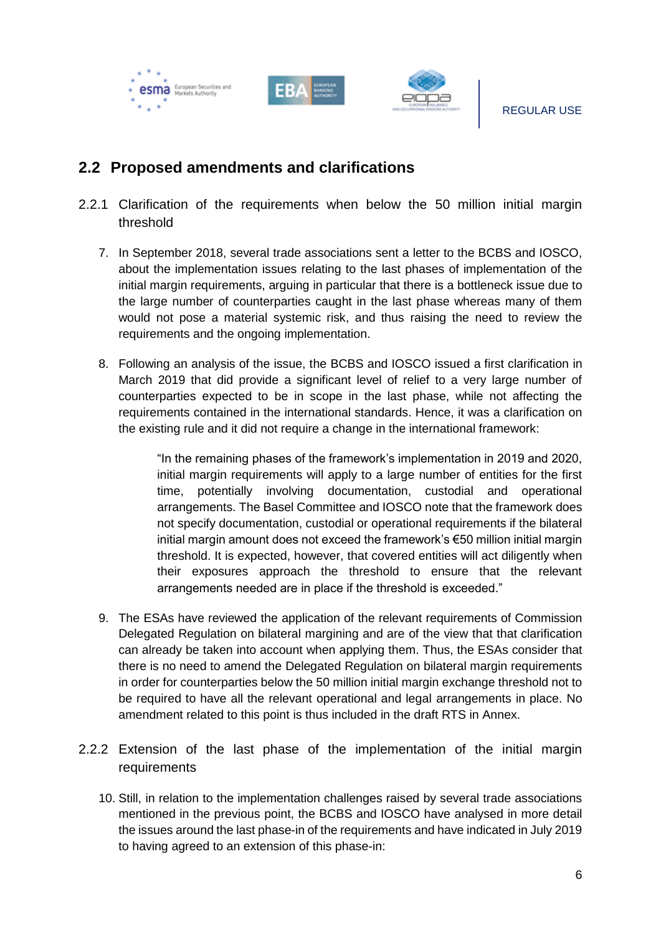





### <span id="page-6-0"></span>**2.2 Proposed amendments and clarifications**

- <span id="page-6-1"></span>2.2.1 Clarification of the requirements when below the 50 million initial margin threshold
	- 7. In September 2018, several trade associations sent a letter to the BCBS and IOSCO, about the implementation issues relating to the last phases of implementation of the initial margin requirements, arguing in particular that there is a bottleneck issue due to the large number of counterparties caught in the last phase whereas many of them would not pose a material systemic risk, and thus raising the need to review the requirements and the ongoing implementation.
	- 8. Following an analysis of the issue, the BCBS and IOSCO issued a first clarification in March 2019 that did provide a significant level of relief to a very large number of counterparties expected to be in scope in the last phase, while not affecting the requirements contained in the international standards. Hence, it was a clarification on the existing rule and it did not require a change in the international framework:

"In the remaining phases of the framework's implementation in 2019 and 2020, initial margin requirements will apply to a large number of entities for the first time, potentially involving documentation, custodial and operational arrangements. The Basel Committee and IOSCO note that the framework does not specify documentation, custodial or operational requirements if the bilateral initial margin amount does not exceed the framework's €50 million initial margin threshold. It is expected, however, that covered entities will act diligently when their exposures approach the threshold to ensure that the relevant arrangements needed are in place if the threshold is exceeded."

- 9. The ESAs have reviewed the application of the relevant requirements of Commission Delegated Regulation on bilateral margining and are of the view that that clarification can already be taken into account when applying them. Thus, the ESAs consider that there is no need to amend the Delegated Regulation on bilateral margin requirements in order for counterparties below the 50 million initial margin exchange threshold not to be required to have all the relevant operational and legal arrangements in place. No amendment related to this point is thus included in the draft RTS in Annex.
- <span id="page-6-2"></span>2.2.2 Extension of the last phase of the implementation of the initial margin requirements
	- 10. Still, in relation to the implementation challenges raised by several trade associations mentioned in the previous point, the BCBS and IOSCO have analysed in more detail the issues around the last phase-in of the requirements and have indicated in July 2019 to having agreed to an extension of this phase-in: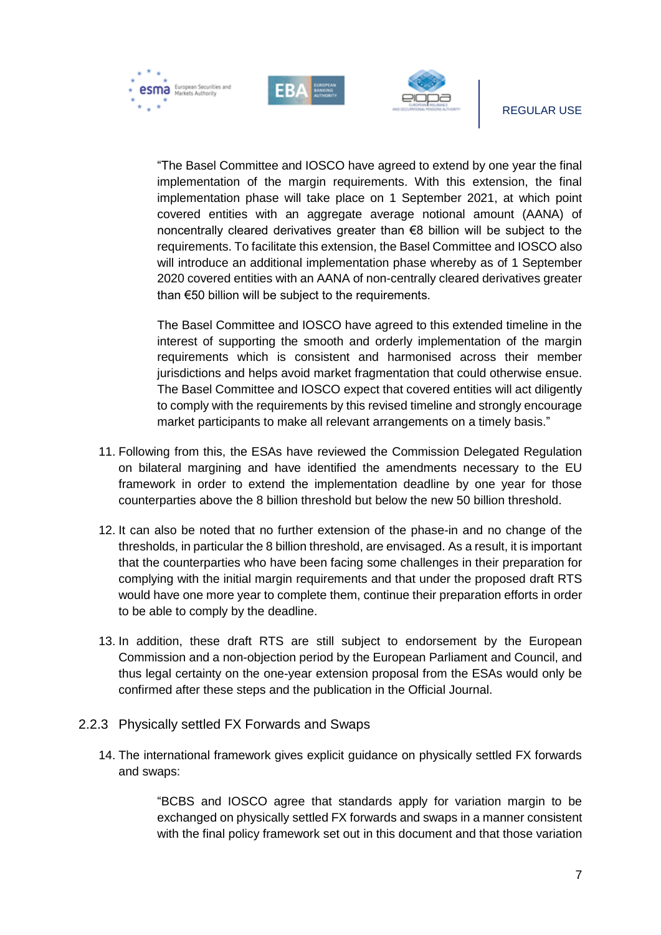esma European Securities and



#### REGULAR USE

"The Basel Committee and IOSCO have agreed to extend by one year the final implementation of the margin requirements. With this extension, the final implementation phase will take place on 1 September 2021, at which point covered entities with an aggregate average notional amount (AANA) of noncentrally cleared derivatives greater than €8 billion will be subject to the requirements. To facilitate this extension, the Basel Committee and IOSCO also will introduce an additional implementation phase whereby as of 1 September 2020 covered entities with an AANA of non-centrally cleared derivatives greater than €50 billion will be subject to the requirements.

The Basel Committee and IOSCO have agreed to this extended timeline in the interest of supporting the smooth and orderly implementation of the margin requirements which is consistent and harmonised across their member jurisdictions and helps avoid market fragmentation that could otherwise ensue. The Basel Committee and IOSCO expect that covered entities will act diligently to comply with the requirements by this revised timeline and strongly encourage market participants to make all relevant arrangements on a timely basis."

- 11. Following from this, the ESAs have reviewed the Commission Delegated Regulation on bilateral margining and have identified the amendments necessary to the EU framework in order to extend the implementation deadline by one year for those counterparties above the 8 billion threshold but below the new 50 billion threshold.
- 12. It can also be noted that no further extension of the phase-in and no change of the thresholds, in particular the 8 billion threshold, are envisaged. As a result, it is important that the counterparties who have been facing some challenges in their preparation for complying with the initial margin requirements and that under the proposed draft RTS would have one more year to complete them, continue their preparation efforts in order to be able to comply by the deadline.
- 13. In addition, these draft RTS are still subject to endorsement by the European Commission and a non-objection period by the European Parliament and Council, and thus legal certainty on the one-year extension proposal from the ESAs would only be confirmed after these steps and the publication in the Official Journal.
- <span id="page-7-0"></span>2.2.3 Physically settled FX Forwards and Swaps
	- 14. The international framework gives explicit guidance on physically settled FX forwards and swaps:

"BCBS and IOSCO agree that standards apply for variation margin to be exchanged on physically settled FX forwards and swaps in a manner consistent with the final policy framework set out in this document and that those variation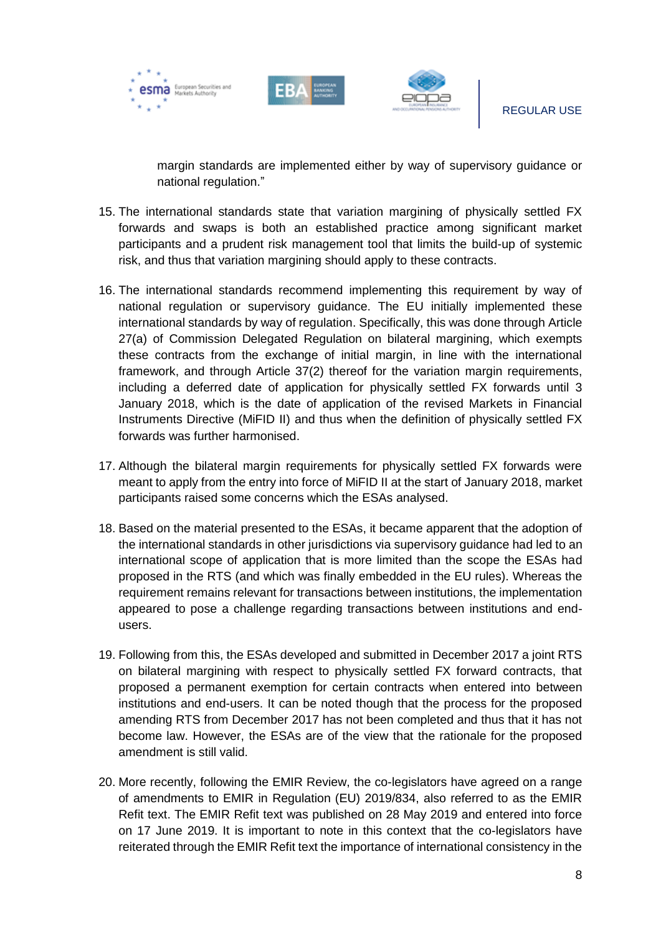





margin standards are implemented either by way of supervisory guidance or national regulation."

- 15. The international standards state that variation margining of physically settled FX forwards and swaps is both an established practice among significant market participants and a prudent risk management tool that limits the build-up of systemic risk, and thus that variation margining should apply to these contracts.
- 16. The international standards recommend implementing this requirement by way of national regulation or supervisory guidance. The EU initially implemented these international standards by way of regulation. Specifically, this was done through Article 27(a) of Commission Delegated Regulation on bilateral margining, which exempts these contracts from the exchange of initial margin, in line with the international framework, and through Article 37(2) thereof for the variation margin requirements, including a deferred date of application for physically settled FX forwards until 3 January 2018, which is the date of application of the revised Markets in Financial Instruments Directive (MiFID II) and thus when the definition of physically settled FX forwards was further harmonised.
- 17. Although the bilateral margin requirements for physically settled FX forwards were meant to apply from the entry into force of MiFID II at the start of January 2018, market participants raised some concerns which the ESAs analysed.
- 18. Based on the material presented to the ESAs, it became apparent that the adoption of the international standards in other jurisdictions via supervisory guidance had led to an international scope of application that is more limited than the scope the ESAs had proposed in the RTS (and which was finally embedded in the EU rules). Whereas the requirement remains relevant for transactions between institutions, the implementation appeared to pose a challenge regarding transactions between institutions and endusers.
- 19. Following from this, the ESAs developed and submitted in December 2017 a joint RTS on bilateral margining with respect to physically settled FX forward contracts, that proposed a permanent exemption for certain contracts when entered into between institutions and end-users. It can be noted though that the process for the proposed amending RTS from December 2017 has not been completed and thus that it has not become law. However, the ESAs are of the view that the rationale for the proposed amendment is still valid.
- 20. More recently, following the EMIR Review, the co-legislators have agreed on a range of amendments to EMIR in Regulation (EU) 2019/834, also referred to as the EMIR Refit text. The EMIR Refit text was published on 28 May 2019 and entered into force on 17 June 2019. It is important to note in this context that the co-legislators have reiterated through the EMIR Refit text the importance of international consistency in the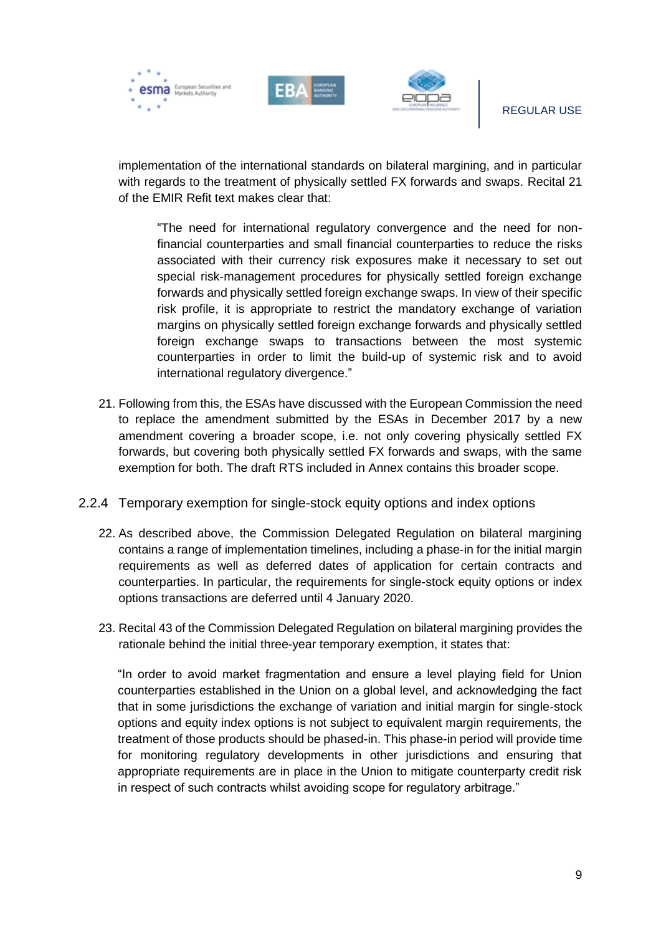





implementation of the international standards on bilateral margining, and in particular with regards to the treatment of physically settled FX forwards and swaps. Recital 21 of the EMIR Refit text makes clear that:

"The need for international regulatory convergence and the need for nonfinancial counterparties and small financial counterparties to reduce the risks associated with their currency risk exposures make it necessary to set out special risk-management procedures for physically settled foreign exchange forwards and physically settled foreign exchange swaps. In view of their specific risk profile, it is appropriate to restrict the mandatory exchange of variation margins on physically settled foreign exchange forwards and physically settled foreign exchange swaps to transactions between the most systemic counterparties in order to limit the build-up of systemic risk and to avoid international regulatory divergence."

- 21. Following from this, the ESAs have discussed with the European Commission the need to replace the amendment submitted by the ESAs in December 2017 by a new amendment covering a broader scope, i.e. not only covering physically settled FX forwards, but covering both physically settled FX forwards and swaps, with the same exemption for both. The draft RTS included in Annex contains this broader scope.
- <span id="page-9-0"></span>2.2.4 Temporary exemption for single-stock equity options and index options
	- 22. As described above, the Commission Delegated Regulation on bilateral margining contains a range of implementation timelines, including a phase-in for the initial margin requirements as well as deferred dates of application for certain contracts and counterparties. In particular, the requirements for single-stock equity options or index options transactions are deferred until 4 January 2020.
	- 23. Recital 43 of the Commission Delegated Regulation on bilateral margining provides the rationale behind the initial three-year temporary exemption, it states that:

"In order to avoid market fragmentation and ensure a level playing field for Union counterparties established in the Union on a global level, and acknowledging the fact that in some jurisdictions the exchange of variation and initial margin for single-stock options and equity index options is not subject to equivalent margin requirements, the treatment of those products should be phased-in. This phase-in period will provide time for monitoring regulatory developments in other jurisdictions and ensuring that appropriate requirements are in place in the Union to mitigate counterparty credit risk in respect of such contracts whilst avoiding scope for regulatory arbitrage."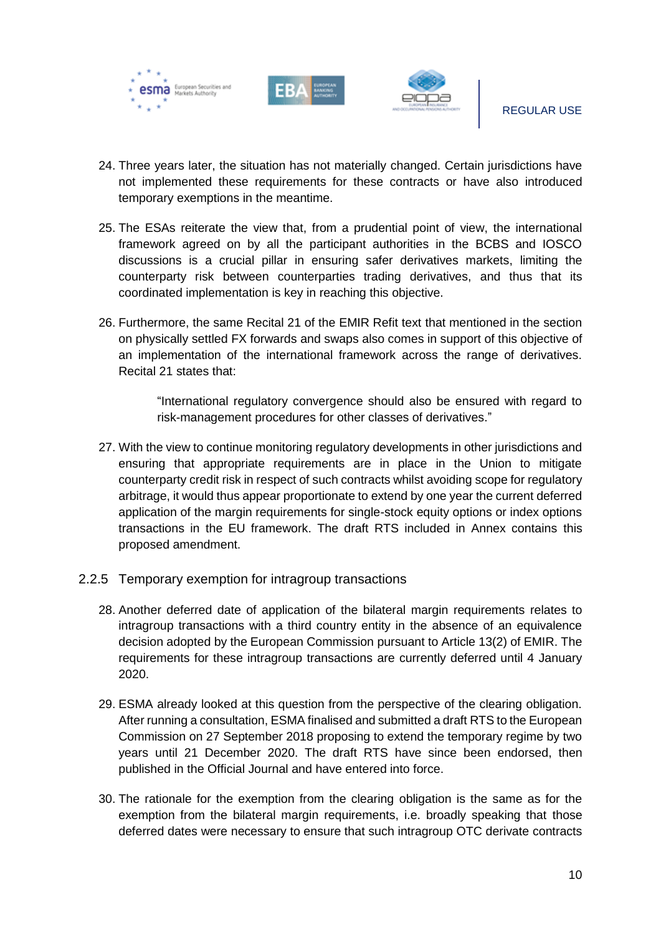





- 24. Three years later, the situation has not materially changed. Certain jurisdictions have not implemented these requirements for these contracts or have also introduced temporary exemptions in the meantime.
- 25. The ESAs reiterate the view that, from a prudential point of view, the international framework agreed on by all the participant authorities in the BCBS and IOSCO discussions is a crucial pillar in ensuring safer derivatives markets, limiting the counterparty risk between counterparties trading derivatives, and thus that its coordinated implementation is key in reaching this objective.
- 26. Furthermore, the same Recital 21 of the EMIR Refit text that mentioned in the section on physically settled FX forwards and swaps also comes in support of this objective of an implementation of the international framework across the range of derivatives. Recital 21 states that:

"International regulatory convergence should also be ensured with regard to risk-management procedures for other classes of derivatives."

- 27. With the view to continue monitoring regulatory developments in other jurisdictions and ensuring that appropriate requirements are in place in the Union to mitigate counterparty credit risk in respect of such contracts whilst avoiding scope for regulatory arbitrage, it would thus appear proportionate to extend by one year the current deferred application of the margin requirements for single-stock equity options or index options transactions in the EU framework. The draft RTS included in Annex contains this proposed amendment.
- <span id="page-10-0"></span>2.2.5 Temporary exemption for intragroup transactions
	- 28. Another deferred date of application of the bilateral margin requirements relates to intragroup transactions with a third country entity in the absence of an equivalence decision adopted by the European Commission pursuant to Article 13(2) of EMIR. The requirements for these intragroup transactions are currently deferred until 4 January 2020.
	- 29. ESMA already looked at this question from the perspective of the clearing obligation. After running a consultation, ESMA finalised and submitted a draft RTS to the European Commission on 27 September 2018 proposing to extend the temporary regime by two years until 21 December 2020. The draft RTS have since been endorsed, then published in the Official Journal and have entered into force.
	- 30. The rationale for the exemption from the clearing obligation is the same as for the exemption from the bilateral margin requirements, i.e. broadly speaking that those deferred dates were necessary to ensure that such intragroup OTC derivate contracts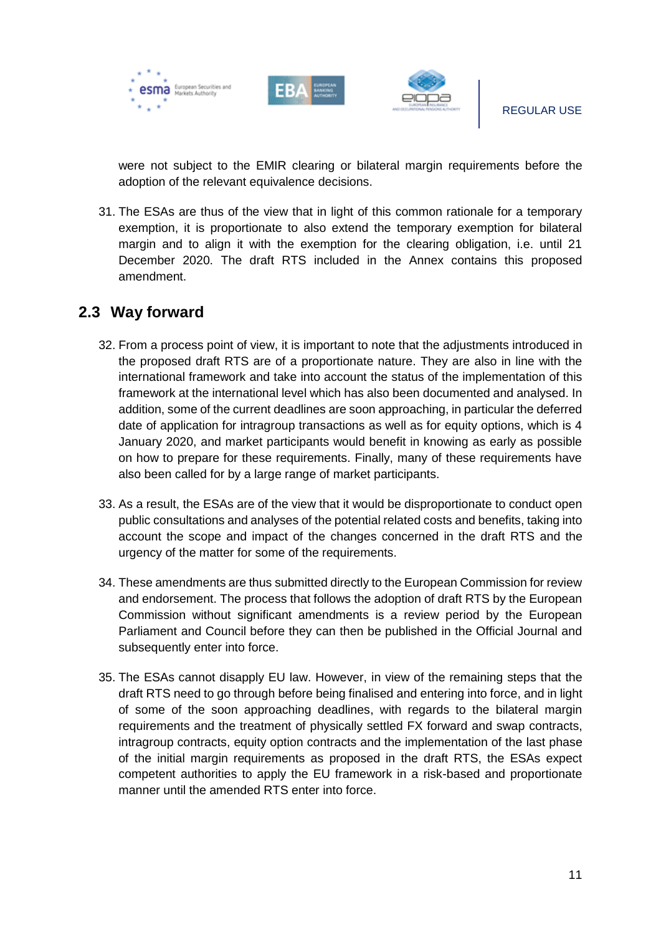





were not subject to the EMIR clearing or bilateral margin requirements before the adoption of the relevant equivalence decisions.

31. The ESAs are thus of the view that in light of this common rationale for a temporary exemption, it is proportionate to also extend the temporary exemption for bilateral margin and to align it with the exemption for the clearing obligation, i.e. until 21 December 2020. The draft RTS included in the Annex contains this proposed amendment.

### <span id="page-11-0"></span>**2.3 Way forward**

- 32. From a process point of view, it is important to note that the adjustments introduced in the proposed draft RTS are of a proportionate nature. They are also in line with the international framework and take into account the status of the implementation of this framework at the international level which has also been documented and analysed. In addition, some of the current deadlines are soon approaching, in particular the deferred date of application for intragroup transactions as well as for equity options, which is 4 January 2020, and market participants would benefit in knowing as early as possible on how to prepare for these requirements. Finally, many of these requirements have also been called for by a large range of market participants.
- 33. As a result, the ESAs are of the view that it would be disproportionate to conduct open public consultations and analyses of the potential related costs and benefits, taking into account the scope and impact of the changes concerned in the draft RTS and the urgency of the matter for some of the requirements.
- 34. These amendments are thus submitted directly to the European Commission for review and endorsement. The process that follows the adoption of draft RTS by the European Commission without significant amendments is a review period by the European Parliament and Council before they can then be published in the Official Journal and subsequently enter into force.
- 35. The ESAs cannot disapply EU law. However, in view of the remaining steps that the draft RTS need to go through before being finalised and entering into force, and in light of some of the soon approaching deadlines, with regards to the bilateral margin requirements and the treatment of physically settled FX forward and swap contracts, intragroup contracts, equity option contracts and the implementation of the last phase of the initial margin requirements as proposed in the draft RTS, the ESAs expect competent authorities to apply the EU framework in a risk-based and proportionate manner until the amended RTS enter into force.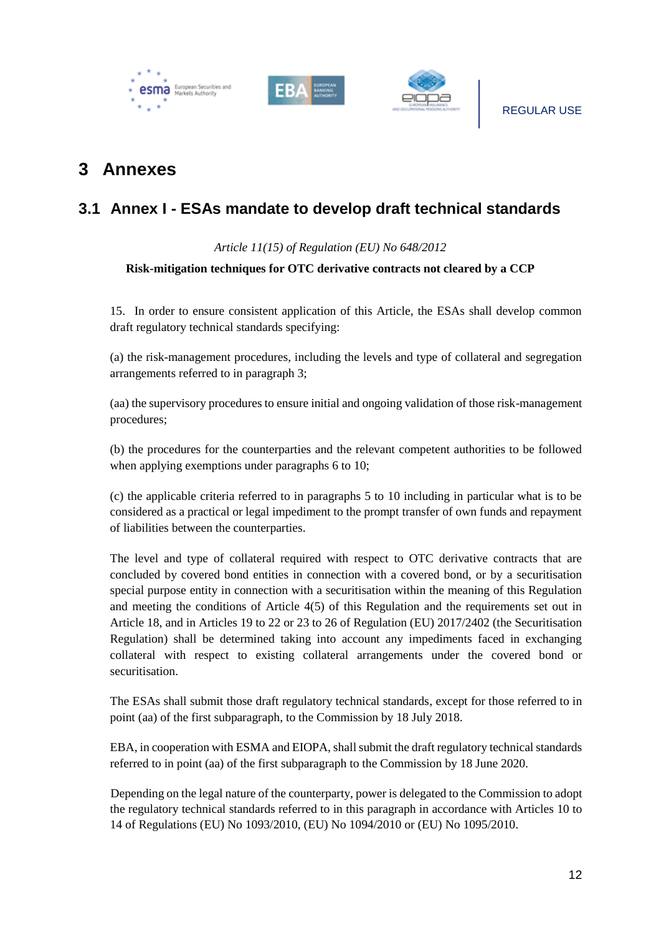





### <span id="page-12-0"></span>**3 Annexes**

### <span id="page-12-1"></span>**3.1 Annex I - ESAs mandate to develop draft technical standards**

### *Article 11(15) of Regulation (EU) No 648/2012*

### **Risk-mitigation techniques for OTC derivative contracts not cleared by a CCP**

15. In order to ensure consistent application of this Article, the ESAs shall develop common draft regulatory technical standards specifying:

(a) the risk-management procedures, including the levels and type of collateral and segregation arrangements referred to in paragraph 3;

(aa) the supervisory procedures to ensure initial and ongoing validation of those risk-management procedures;

(b) the procedures for the counterparties and the relevant competent authorities to be followed when applying exemptions under paragraphs 6 to 10;

(c) the applicable criteria referred to in paragraphs 5 to 10 including in particular what is to be considered as a practical or legal impediment to the prompt transfer of own funds and repayment of liabilities between the counterparties.

The level and type of collateral required with respect to OTC derivative contracts that are concluded by covered bond entities in connection with a covered bond, or by a securitisation special purpose entity in connection with a securitisation within the meaning of this Regulation and meeting the conditions of Article 4(5) of this Regulation and the requirements set out in Article 18, and in Articles 19 to 22 or 23 to 26 of Regulation (EU) 2017/2402 (the Securitisation Regulation) shall be determined taking into account any impediments faced in exchanging collateral with respect to existing collateral arrangements under the covered bond or securitisation.

The ESAs shall submit those draft regulatory technical standards, except for those referred to in point (aa) of the first subparagraph, to the Commission by 18 July 2018.

EBA, in cooperation with ESMA and EIOPA, shall submit the draft regulatory technical standards referred to in point (aa) of the first subparagraph to the Commission by 18 June 2020.

Depending on the legal nature of the counterparty, power is delegated to the Commission to adopt the regulatory technical standards referred to in this paragraph in accordance with Articles 10 to 14 of Regulations (EU) No 1093/2010, (EU) No 1094/2010 or (EU) No 1095/2010.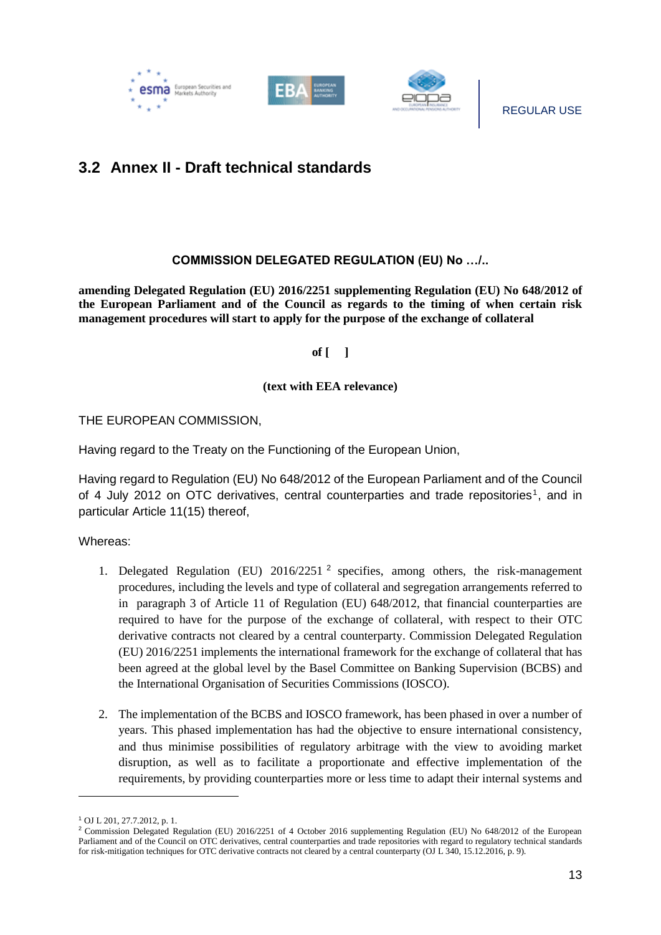

### <span id="page-13-0"></span>**3.2 Annex II - Draft technical standards**

#### **COMMISSION DELEGATED REGULATION (EU) No …/..**

**amending Delegated Regulation (EU) 2016/2251 supplementing Regulation (EU) No 648/2012 of the European Parliament and of the Council as regards to the timing of when certain risk management procedures will start to apply for the purpose of the exchange of collateral**

**of [ ]**

#### **(text with EEA relevance)**

THE EUROPEAN COMMISSION,

Having regard to the Treaty on the Functioning of the European Union,

Having regard to Regulation (EU) No 648/2012 of the European Parliament and of the Council of 4 July 2012 on OTC derivatives, central counterparties and trade repositories<sup>1</sup>, and in particular Article 11(15) thereof,

Whereas:

- 1. Delegated Regulation (EU) 2016/2251 <sup>2</sup> specifies, among others, the risk-management procedures, including the levels and type of collateral and segregation arrangements referred to in paragraph 3 of Article 11 of Regulation (EU) 648/2012, that financial counterparties are required to have for the purpose of the exchange of collateral, with respect to their OTC derivative contracts not cleared by a central counterparty. Commission Delegated Regulation (EU) 2016/2251 implements the international framework for the exchange of collateral that has been agreed at the global level by the Basel Committee on Banking Supervision (BCBS) and the International Organisation of Securities Commissions (IOSCO).
- 2. The implementation of the BCBS and IOSCO framework, has been phased in over a number of years. This phased implementation has had the objective to ensure international consistency, and thus minimise possibilities of regulatory arbitrage with the view to avoiding market disruption, as well as to facilitate a proportionate and effective implementation of the requirements, by providing counterparties more or less time to adapt their internal systems and

-

<sup>1</sup> OJ L 201, 27.7.2012, p. 1.

<sup>&</sup>lt;sup>2</sup> Commission Delegated Regulation (EU) 2016/2251 of 4 October 2016 supplementing Regulation (EU) No 648/2012 of the European Parliament and of the Council on OTC derivatives, central counterparties and trade repositories with regard to regulatory technical standards for risk-mitigation techniques for OTC derivative contracts not cleared by a central counterparty (OJ L 340, 15.12.2016, p. 9).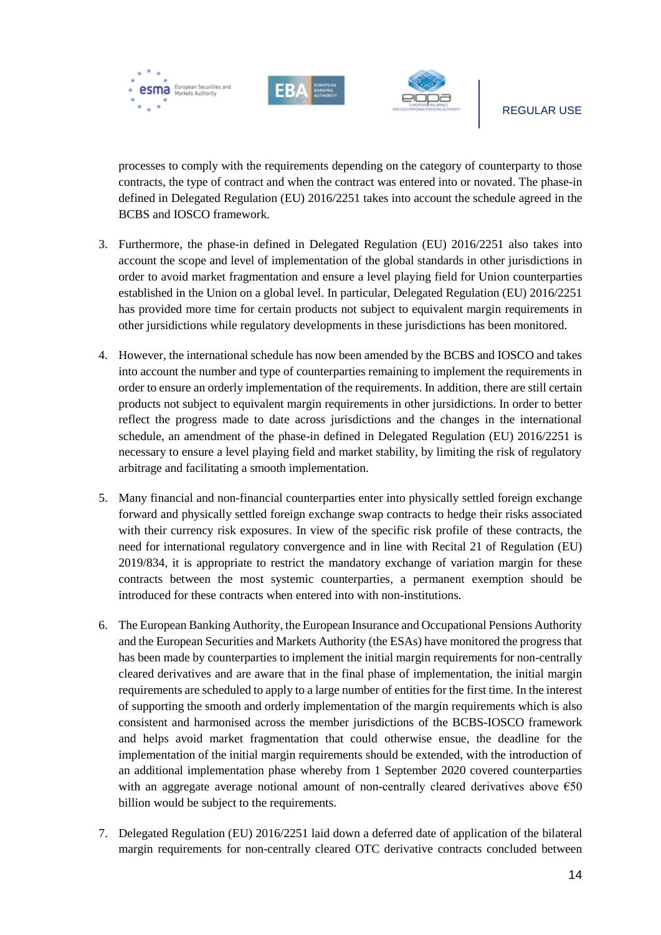





processes to comply with the requirements depending on the category of counterparty to those contracts, the type of contract and when the contract was entered into or novated. The phase-in defined in Delegated Regulation (EU) 2016/2251 takes into account the schedule agreed in the BCBS and IOSCO framework.

- 3. Furthermore, the phase-in defined in Delegated Regulation (EU) 2016/2251 also takes into account the scope and level of implementation of the global standards in other jurisdictions in order to avoid market fragmentation and ensure a level playing field for Union counterparties established in the Union on a global level. In particular, Delegated Regulation (EU) 2016/2251 has provided more time for certain products not subject to equivalent margin requirements in other jursidictions while regulatory developments in these jurisdictions has been monitored.
- 4. However, the international schedule has now been amended by the BCBS and IOSCO and takes into account the number and type of counterparties remaining to implement the requirements in order to ensure an orderly implementation of the requirements. In addition, there are still certain products not subject to equivalent margin requirements in other jursidictions. In order to better reflect the progress made to date across jurisdictions and the changes in the international schedule, an amendment of the phase-in defined in Delegated Regulation (EU) 2016/2251 is necessary to ensure a level playing field and market stability, by limiting the risk of regulatory arbitrage and facilitating a smooth implementation.
- 5. Many financial and non-financial counterparties enter into physically settled foreign exchange forward and physically settled foreign exchange swap contracts to hedge their risks associated with their currency risk exposures. In view of the specific risk profile of these contracts, the need for international regulatory convergence and in line with Recital 21 of Regulation (EU) 2019/834, it is appropriate to restrict the mandatory exchange of variation margin for these contracts between the most systemic counterparties, a permanent exemption should be introduced for these contracts when entered into with non-institutions.
- 6. The European Banking Authority, the European Insurance and Occupational Pensions Authority and the European Securities and Markets Authority (the ESAs) have monitored the progress that has been made by counterparties to implement the initial margin requirements for non-centrally cleared derivatives and are aware that in the final phase of implementation, the initial margin requirements are scheduled to apply to a large number of entities for the first time. In the interest of supporting the smooth and orderly implementation of the margin requirements which is also consistent and harmonised across the member jurisdictions of the BCBS-IOSCO framework and helps avoid market fragmentation that could otherwise ensue, the deadline for the implementation of the initial margin requirements should be extended, with the introduction of an additional implementation phase whereby from 1 September 2020 covered counterparties with an aggregate average notional amount of non-centrally cleared derivatives above  $\epsilon$ 50 billion would be subject to the requirements.
- 7. Delegated Regulation (EU) 2016/2251 laid down a deferred date of application of the bilateral margin requirements for non-centrally cleared OTC derivative contracts concluded between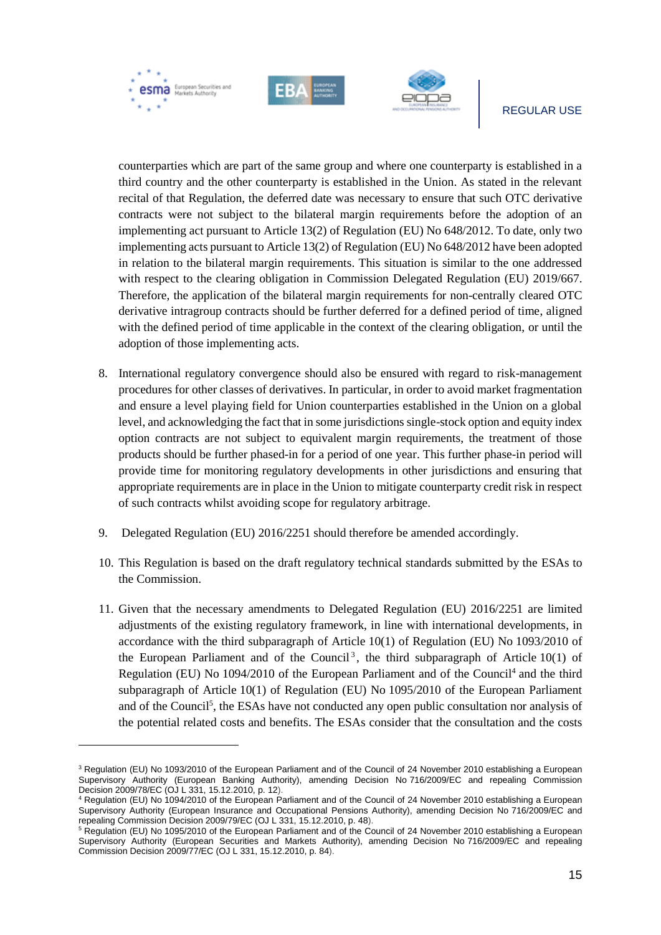

#### REGULAR USE

counterparties which are part of the same group and where one counterparty is established in a third country and the other counterparty is established in the Union. As stated in the relevant recital of that Regulation, the deferred date was necessary to ensure that such OTC derivative contracts were not subject to the bilateral margin requirements before the adoption of an implementing act pursuant to Article 13(2) of Regulation (EU) No 648/2012. To date, only two implementing acts pursuant to Article 13(2) of Regulation (EU) No 648/2012 have been adopted in relation to the bilateral margin requirements. This situation is similar to the one addressed with respect to the clearing obligation in Commission Delegated Regulation (EU) 2019/667. Therefore, the application of the bilateral margin requirements for non-centrally cleared OTC derivative intragroup contracts should be further deferred for a defined period of time, aligned with the defined period of time applicable in the context of the clearing obligation, or until the adoption of those implementing acts.

- 8. International regulatory convergence should also be ensured with regard to risk-management procedures for other classes of derivatives. In particular, in order to avoid market fragmentation and ensure a level playing field for Union counterparties established in the Union on a global level, and acknowledging the fact that in some jurisdictions single-stock option and equity index option contracts are not subject to equivalent margin requirements, the treatment of those products should be further phased-in for a period of one year. This further phase-in period will provide time for monitoring regulatory developments in other jurisdictions and ensuring that appropriate requirements are in place in the Union to mitigate counterparty credit risk in respect of such contracts whilst avoiding scope for regulatory arbitrage.
- 9. Delegated Regulation (EU) 2016/2251 should therefore be amended accordingly.
- 10. This Regulation is based on the draft regulatory technical standards submitted by the ESAs to the Commission.
- 11. Given that the necessary amendments to Delegated Regulation (EU) 2016/2251 are limited adjustments of the existing regulatory framework, in line with international developments, in accordance with the third subparagraph of Article 10(1) of Regulation (EU) No 1093/2010 of the European Parliament and of the Council<sup>3</sup>, the third subparagraph of Article  $10(1)$  of Regulation (EU) No 1094/2010 of the European Parliament and of the Council<sup>4</sup> and the third subparagraph of Article 10(1) of Regulation (EU) No 1095/2010 of the European Parliament and of the Council<sup>5</sup>, the ESAs have not conducted any open public consultation nor analysis of the potential related costs and benefits. The ESAs consider that the consultation and the costs

1

<sup>&</sup>lt;sup>3</sup> Regulation (EU) No 1093/2010 of the European Parliament and of the Council of 24 November 2010 establishing a European Supervisory Authority (European Banking Authority), amending Decision No 716/2009/EC and repealing Commission Decision 2009/78/EC (OJ L 331, 15.12.2010, p. 12).

<sup>4</sup> Regulation (EU) No 1094/2010 of the European Parliament and of the Council of 24 November 2010 establishing a European Supervisory Authority (European Insurance and Occupational Pensions Authority), amending Decision No 716/2009/EC and repealing Commission Decision 2009/79/EC (OJ L 331, 15.12.2010, p. 48).

<sup>&</sup>lt;sup>5</sup> Regulation (EU) No 1095/2010 of the European Parliament and of the Council of 24 November 2010 establishing a European Supervisory Authority (European Securities and Markets Authority), amending Decision No 716/2009/EC and repealing Commission Decision 2009/77/EC (OJ L 331, 15.12.2010, p. 84).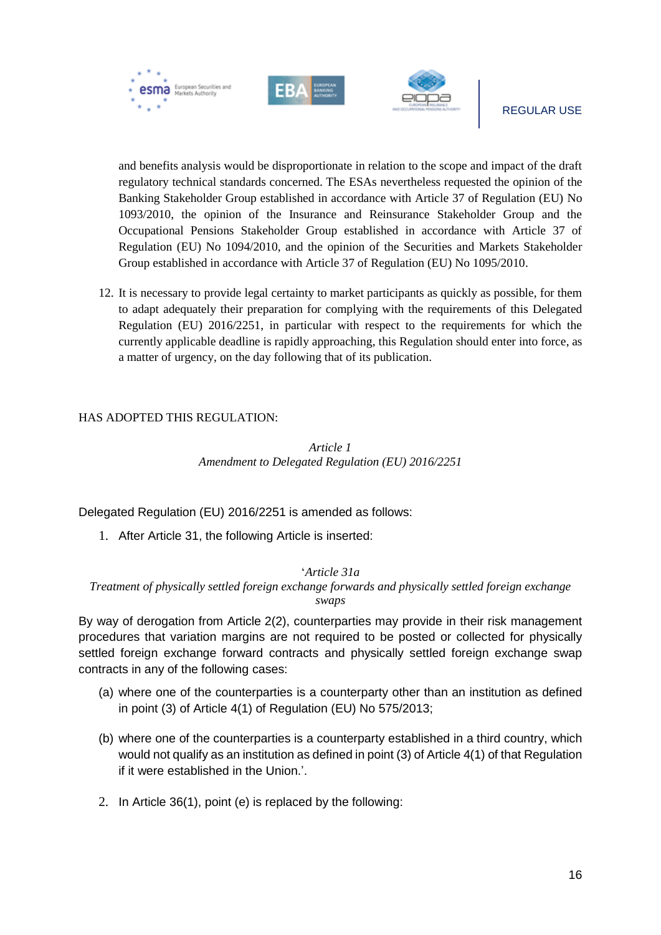



and benefits analysis would be disproportionate in relation to the scope and impact of the draft regulatory technical standards concerned. The ESAs nevertheless requested the opinion of the Banking Stakeholder Group established in accordance with Article 37 of Regulation (EU) No 1093/2010, the opinion of the Insurance and Reinsurance Stakeholder Group and the Occupational Pensions Stakeholder Group established in accordance with Article 37 of Regulation (EU) No 1094/2010, and the opinion of the Securities and Markets Stakeholder Group established in accordance with Article 37 of Regulation (EU) No 1095/2010.

12. It is necessary to provide legal certainty to market participants as quickly as possible, for them to adapt adequately their preparation for complying with the requirements of this Delegated Regulation (EU) 2016/2251, in particular with respect to the requirements for which the currently applicable deadline is rapidly approaching, this Regulation should enter into force, as a matter of urgency, on the day following that of its publication.

#### HAS ADOPTED THIS REGULATION:

*Article 1 Amendment to Delegated Regulation (EU) 2016/2251*

Delegated Regulation (EU) 2016/2251 is amended as follows:

1. After Article 31, the following Article is inserted:

#### '*Article 31a*

*Treatment of physically settled foreign exchange forwards and physically settled foreign exchange swaps*

By way of derogation from Article 2(2), counterparties may provide in their risk management procedures that variation margins are not required to be posted or collected for physically settled foreign exchange forward contracts and physically settled foreign exchange swap contracts in any of the following cases:

- (a) where one of the counterparties is a counterparty other than an institution as defined in point (3) of Article 4(1) of Regulation (EU) No 575/2013;
- (b) where one of the counterparties is a counterparty established in a third country, which would not qualify as an institution as defined in point (3) of Article 4(1) of that Regulation if it were established in the Union.'.
- 2. In Article 36(1), point (e) is replaced by the following: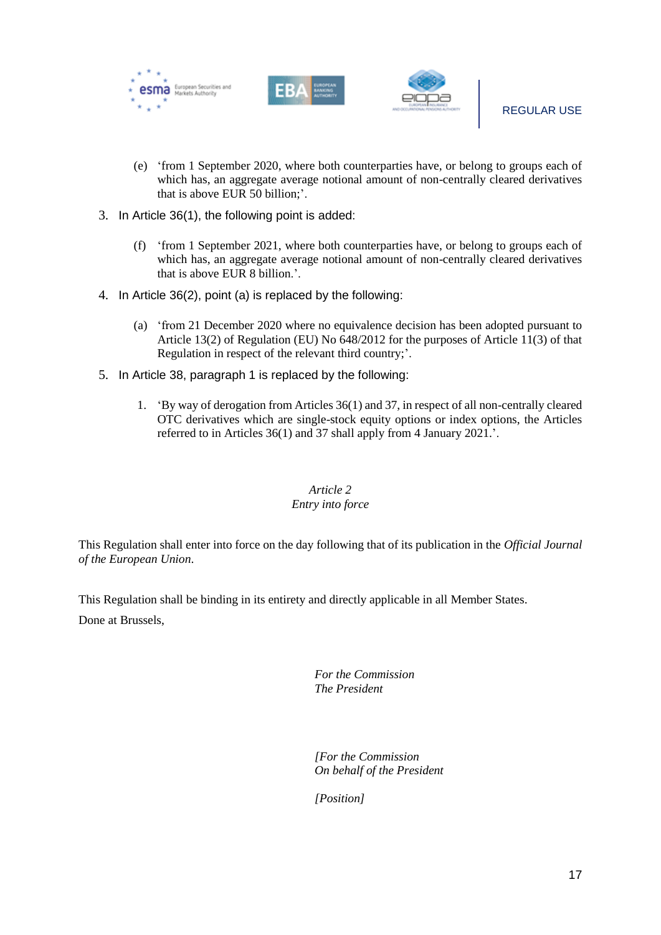





- (e) 'from 1 September 2020, where both counterparties have, or belong to groups each of which has, an aggregate average notional amount of non-centrally cleared derivatives that is above EUR 50 billion;'.
- 3. In Article 36(1), the following point is added:
	- (f) 'from 1 September 2021, where both counterparties have, or belong to groups each of which has, an aggregate average notional amount of non-centrally cleared derivatives that is above EUR 8 billion.'.
- 4. In Article 36(2), point (a) is replaced by the following:
	- (a) 'from 21 December 2020 where no equivalence decision has been adopted pursuant to Article 13(2) of Regulation (EU) No 648/2012 for the purposes of Article 11(3) of that Regulation in respect of the relevant third country;'.
- 5. In Article 38, paragraph 1 is replaced by the following:
	- 1. 'By way of derogation from Articles 36(1) and 37, in respect of all non-centrally cleared OTC derivatives which are single-stock equity options or index options, the Articles referred to in Articles 36(1) and 37 shall apply from 4 January 2021.'.

#### *Article 2 Entry into force*

This Regulation shall enter into force on the day following that of its publication in the *Official Journal of the European Union*.

This Regulation shall be binding in its entirety and directly applicable in all Member States.

Done at Brussels,

*For the Commission The President*

*[For the Commission On behalf of the President*

*[Position]*